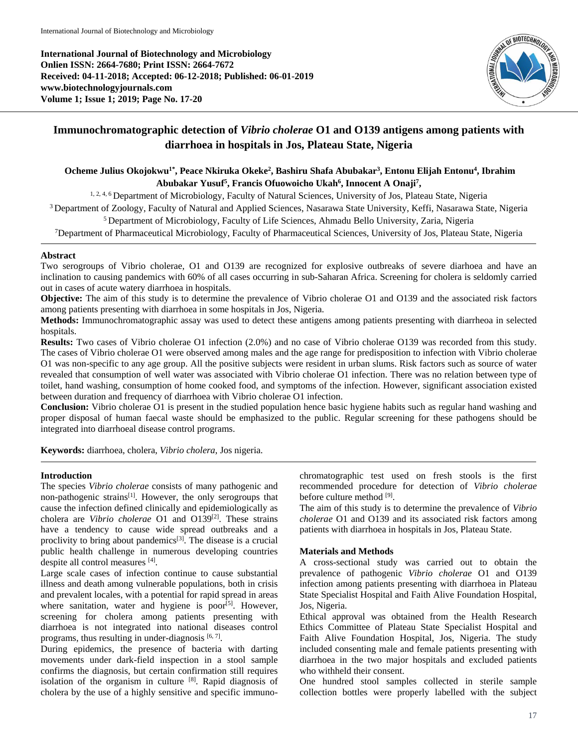**International Journal of Biotechnology and Microbiology Onlien ISSN: 2664-7680; Print ISSN: 2664-7672 Received: 04-11-2018; Accepted: 06-12-2018; Published: 06-01-2019 www.biotechnologyjournals.com Volume 1; Issue 1; 2019; Page No. 17-20**



# **Immunochromatographic detection of** *Vibrio cholerae* **O1 and O139 antigens among patients with diarrhoea in hospitals in Jos, Plateau State, Nigeria**

# **Ocheme Julius Okojokwu1\* , Peace Nkiruka Okeke<sup>2</sup> , Bashiru Shafa Abubakar<sup>3</sup> , Entonu Elijah Entonu<sup>4</sup> , Ibrahim Abubakar Yusuf<sup>5</sup> , Francis Ofuowoicho Ukah<sup>6</sup> , Innocent A Onaji<sup>7</sup> ,**

<sup>1, 2, 4, 6</sup> Department of Microbiology, Faculty of Natural Sciences, University of Jos, Plateau State, Nigeria

<sup>3</sup> Department of Zoology, Faculty of Natural and Applied Sciences, Nasarawa State University, Keffi, Nasarawa State, Nigeria

<sup>5</sup> Department of Microbiology, Faculty of Life Sciences, Ahmadu Bello University, Zaria, Nigeria

<sup>7</sup>Department of Pharmaceutical Microbiology, Faculty of Pharmaceutical Sciences, University of Jos, Plateau State, Nigeria

# **Abstract**

Two serogroups of Vibrio cholerae, O1 and O139 are recognized for explosive outbreaks of severe diarhoea and have an inclination to causing pandemics with 60% of all cases occurring in sub-Saharan Africa. Screening for cholera is seldomly carried out in cases of acute watery diarrhoea in hospitals.

**Objective:** The aim of this study is to determine the prevalence of Vibrio cholerae O1 and O139 and the associated risk factors among patients presenting with diarrhoea in some hospitals in Jos, Nigeria.

**Methods:** Immunochromatographic assay was used to detect these antigens among patients presenting with diarrheoa in selected hospitals.

**Results:** Two cases of Vibrio cholerae O1 infection (2.0%) and no case of Vibrio cholerae O139 was recorded from this study. The cases of Vibrio cholerae O1 were observed among males and the age range for predisposition to infection with Vibrio cholerae O1 was non-specific to any age group. All the positive subjects were resident in urban slums. Risk factors such as source of water revealed that consumption of well water was associated with Vibrio cholerae O1 infection. There was no relation between type of toilet, hand washing, consumption of home cooked food, and symptoms of the infection. However, significant association existed between duration and frequency of diarrhoea with Vibrio cholerae O1 infection.

**Conclusion:** Vibrio cholerae O1 is present in the studied population hence basic hygiene habits such as regular hand washing and proper disposal of human faecal waste should be emphasized to the public. Regular screening for these pathogens should be integrated into diarrhoeal disease control programs.

**Keywords:** diarrhoea, cholera, *Vibrio cholera*, Jos nigeria.

# **Introduction**

The species *Vibrio cholerae* consists of many pathogenic and non-pathogenic strains<sup>[1]</sup>. However, the only serogroups that cause the infection defined clinically and epidemiologically as cholera are *Vibrio cholerae* O1 and O139<sup>[2]</sup>. These strains have a tendency to cause wide spread outbreaks and a proclivity to bring about pandemics $[3]$ . The disease is a crucial public health challenge in numerous developing countries despite all control measures [4] .

Large scale cases of infection continue to cause substantial illness and death among vulnerable populations, both in crisis and prevalent locales, with a potential for rapid spread in areas where sanitation, water and hygiene is poor<sup>[5]</sup>. However, screening for cholera among patients presenting with diarrhoea is not integrated into national diseases control programs, thus resulting in under-diagnosis  $[6, 7]$ .

During epidemics, the presence of bacteria with darting movements under dark-field inspection in a stool sample confirms the diagnosis, but certain confirmation still requires isolation of the organism in culture  $[8]$ . Rapid diagnosis of cholera by the use of a highly sensitive and specific immunochromatographic test used on fresh stools is the first recommended procedure for detection of *Vibrio cholerae* before culture method [9].

The aim of this study is to determine the prevalence of *Vibrio cholerae* O1 and O139 and its associated risk factors among patients with diarrhoea in hospitals in Jos, Plateau State.

# **Materials and Methods**

A cross-sectional study was carried out to obtain the prevalence of pathogenic *Vibrio cholerae* O1 and O139 infection among patients presenting with diarrhoea in Plateau State Specialist Hospital and Faith Alive Foundation Hospital, Jos, Nigeria.

Ethical approval was obtained from the Health Research Ethics Committee of Plateau State Specialist Hospital and Faith Alive Foundation Hospital, Jos, Nigeria. The study included consenting male and female patients presenting with diarrhoea in the two major hospitals and excluded patients who withheld their consent.

One hundred stool samples collected in sterile sample collection bottles were properly labelled with the subject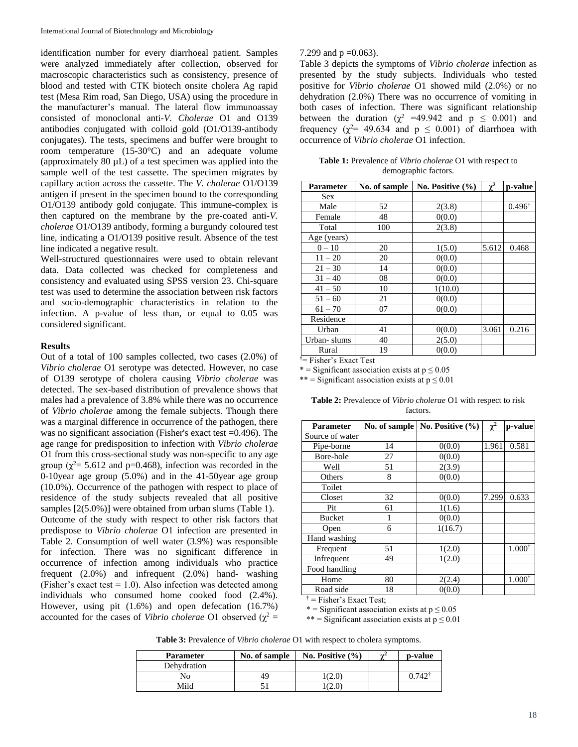identification number for every diarrhoeal patient. Samples were analyzed immediately after collection, observed for macroscopic characteristics such as consistency, presence of blood and tested with CTK biotech onsite cholera Ag rapid test (Mesa Rim road, San Diego, USA) using the procedure in the manufacturer's manual. The lateral flow immunoassay consisted of monoclonal anti-*V. Cholerae* O1 and O139 antibodies conjugated with colloid gold (O1/O139-antibody conjugates). The tests, specimens and buffer were brought to room temperature (15-30°C) and an adequate volume (approximately 80 µL) of a test specimen was applied into the sample well of the test cassette. The specimen migrates by capillary action across the cassette. The *V. cholerae* O1/O139 antigen if present in the specimen bound to the corresponding O1/O139 antibody gold conjugate. This immune-complex is then captured on the membrane by the pre-coated anti-*V. cholerae* O1/O139 antibody, forming a burgundy coloured test line, indicating a O1/O139 positive result. Absence of the test line indicated a negative result.

Well-structured questionnaires were used to obtain relevant data. Data collected was checked for completeness and consistency and evaluated using SPSS version 23. Chi-square test was used to determine the association between risk factors and socio-demographic characteristics in relation to the infection. A p-value of less than, or equal to 0.05 was considered significant.

#### **Results**

Out of a total of 100 samples collected, two cases (2.0%) of *Vibrio cholerae* O1 serotype was detected. However, no case of O139 serotype of cholera causing *Vibrio cholerae* was detected. The sex-based distribution of prevalence shows that males had a prevalence of 3.8% while there was no occurrence of *Vibrio cholerae* among the female subjects. Though there was a marginal difference in occurrence of the pathogen, there was no significant association (Fisher's exact test =0.496). The age range for predisposition to infection with *Vibrio cholerae* O1 from this cross-sectional study was non-specific to any age group ( $\chi^2$ = 5.612 and p=0.468), infection was recorded in the 0-10year age group (5.0%) and in the 41-50year age group (10.0%). Occurrence of the pathogen with respect to place of residence of the study subjects revealed that all positive samples  $[2(5.0\%)$  were obtained from urban slums (Table 1). Outcome of the study with respect to other risk factors that predispose to *Vibrio cholerae* O1 infection are presented in Table 2. Consumption of well water (3.9%) was responsible for infection. There was no significant difference in occurrence of infection among individuals who practice frequent (2.0%) and infrequent (2.0%) hand- washing (Fisher's exact test  $= 1.0$ ). Also infection was detected among individuals who consumed home cooked food (2.4%). However, using pit (1.6%) and open defecation (16.7%) accounted for the cases of *Vibrio cholerae* O1 observed ( $\chi^2$  =

#### 7.299 and  $p = 0.063$ ).

Table 3 depicts the symptoms of *Vibrio cholerae* infection as presented by the study subjects. Individuals who tested positive for *Vibrio cholerae* O1 showed mild (2.0%) or no dehydration (2.0%) There was no occurrence of vomiting in both cases of infection. There was significant relationship between the duration ( $\chi^2$  =49.942 and p  $\leq$  0.001) and frequency ( $\chi^2$ = 49.634 and p  $\leq$  0.001) of diarrhoea with occurrence of *Vibrio cholerae* O1 infection.

| Table 1: Prevalence of Vibrio cholerae O1 with respect to |
|-----------------------------------------------------------|
| demographic factors.                                      |

| Parameter   | No. of sample | No. Positive (%) | $\chi^2$ | p-value           |
|-------------|---------------|------------------|----------|-------------------|
| <b>Sex</b>  |               |                  |          |                   |
| Male        | 52            | 2(3.8)           |          | $0.496^{\dagger}$ |
| Female      | 48            | 0(0.0)           |          |                   |
| Total       | 100           | 2(3.8)           |          |                   |
| Age (years) |               |                  |          |                   |
| $0 - 10$    | 20            | 1(5.0)           | 5.612    | 0.468             |
| $11 - 20$   | 20            | 0(0.0)           |          |                   |
| $21 - 30$   | 14            | 0(0.0)           |          |                   |
| $31 - 40$   | 08            | 0(0.0)           |          |                   |
| $41 - 50$   | 10            | 1(10.0)          |          |                   |
| $51 - 60$   | 21            | 0(0.0)           |          |                   |
| $61 - 70$   | 07            | 0(0.0)           |          |                   |
| Residence   |               |                  |          |                   |
| Urban       | 41            | 0(0.0)           | 3.061    | 0.216             |
| Urban-slums | 40            | 2(5.0)           |          |                   |
| Rural       | 19            | 0(0.0)           |          |                   |

†= Fisher's Exact Test

\* = Significant association exists at  $p \le 0.05$ 

\*\* = Significant association exists at  $p \le 0.01$ 

| <b>Table 2:</b> Prevalence of <i>Vibrio cholerae</i> O1 with respect to risk |          |  |
|------------------------------------------------------------------------------|----------|--|
|                                                                              | factors. |  |

| Parameter       | No. of sample | No. Positive (%) | $\gamma^2$ | p-value           |
|-----------------|---------------|------------------|------------|-------------------|
| Source of water |               |                  |            |                   |
| Pipe-borne      | 14            | 0(0.0)           | 1.961      | 0.581             |
| Bore-hole       | 27            | 0(0.0)           |            |                   |
| Well            | 51            | 2(3.9)           |            |                   |
| Others          | 8             | 0(0.0)           |            |                   |
| Toilet          |               |                  |            |                   |
| Closet          | 32            | 0(0.0)           | 7.299      | 0.633             |
| Pit             | 61            | 1(1.6)           |            |                   |
| <b>Bucket</b>   | 1             | 0(0.0)           |            |                   |
| Open            | 6             | 1(16.7)          |            |                   |
| Hand washing    |               |                  |            |                   |
| Frequent        | 51            | 1(2.0)           |            | $1.000^{\dagger}$ |
| Infrequent      | 49            | 1(2.0)           |            |                   |
| Food handling   |               |                  |            |                   |
| Home            | 80            | 2(2.4)           |            | $1.000^{\dagger}$ |
| Road side       | 18            | 0(0.0)           |            |                   |

 $\dagger$  = Fisher's Exact Test;

\* = Significant association exists at  $p \le 0.05$ 

\*\* = Significant association exists at  $p \le 0.01$ 

**Table 3:** Prevalence of *Vibrio cholerae* O1 with respect to cholera symptoms.

| <b>Parameter</b> | No. of sample | No. Positive $(\% )$ | $\sim$ <sup>2</sup> | p-value |
|------------------|---------------|----------------------|---------------------|---------|
| Dehydration      |               |                      |                     |         |
| No               | 49            | (2.0)                |                     | 742     |
| Mild             |               | (2.0)                |                     |         |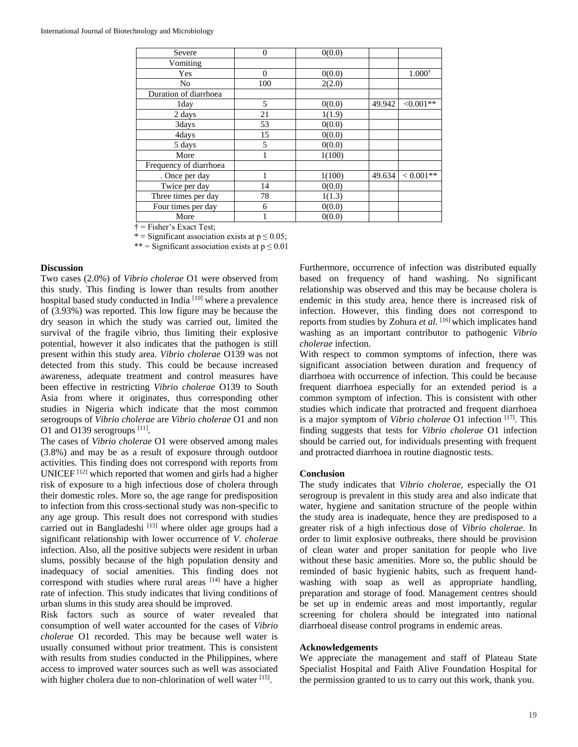| Severe                 | $\Omega$ | 0(0.0) |        |                   |
|------------------------|----------|--------|--------|-------------------|
| Vomiting               |          |        |        |                   |
| Yes                    | $\Omega$ | 0(0.0) |        | $1.000^{\dagger}$ |
| No                     | 100      | 2(2.0) |        |                   |
| Duration of diarrhoea  |          |        |        |                   |
| 1day                   | 5        | 0(0.0) | 49.942 | $<0.001**$        |
| 2 days                 | 21       | 1(1.9) |        |                   |
| 3days                  | 53       | 0(0.0) |        |                   |
| 4days                  | 15       | 0(0.0) |        |                   |
| 5 days                 | 5        | 0(0.0) |        |                   |
| More                   |          | 1(100) |        |                   |
| Frequency of diarrhoea |          |        |        |                   |
| . Once per day         |          | 1(100) | 49.634 | $< 0.001**$       |
| Twice per day          | 14       | 0(0.0) |        |                   |
| Three times per day    | 78       | 1(1.3) |        |                   |
| Four times per day     | 6        | 0(0.0) |        |                   |
| More                   |          | 0(0.0) |        |                   |

† = Fisher's Exact Test;

\* = Significant association exists at  $p \le 0.05$ ;

\*\* = Significant association exists at  $p \le 0.01$ 

#### **Discussion**

Two cases (2.0%) of *Vibrio cholerae* O1 were observed from this study. This finding is lower than results from another hospital based study conducted in India<sup>[10]</sup> where a prevalence of (3.93%) was reported. This low figure may be because the dry season in which the study was carried out, limited the survival of the fragile vibrio, thus limiting their explosive potential, however it also indicates that the pathogen is still present within this study area. *Vibrio cholerae* O139 was not detected from this study. This could be because increased awareness, adequate treatment and control measures have been effective in restricting *Vibrio cholerae* O139 to South Asia from where it originates, thus corresponding other studies in Nigeria which indicate that the most common serogroups of *Vibrio cholerae* are *Vibrio cholerae* O1 and non O1 and O139 serogroups  $^{[11]}$ .

The cases of *Vibrio cholerae* O1 were observed among males (3.8%) and may be as a result of exposure through outdoor activities. This finding does not correspond with reports from UNICEF [12] which reported that women and girls had a higher risk of exposure to a high infectious dose of cholera through their domestic roles. More so, the age range for predisposition to infection from this cross-sectional study was non-specific to any age group. This result does not correspond with studies carried out in Bangladeshi<sup>[13]</sup> where older age groups had a significant relationship with lower occurrence of *V. cholerae*  infection. Also, all the positive subjects were resident in urban slums, possibly because of the high population density and inadequacy of social amenities. This finding does not correspond with studies where rural areas [14] have a higher rate of infection. This study indicates that living conditions of urban slums in this study area should be improved.

Risk factors such as source of water revealed that consumption of well water accounted for the cases of *Vibrio cholerae* O1 recorded. This may be because well water is usually consumed without prior treatment. This is consistent with results from studies conducted in the Philippines, where access to improved water sources such as well was associated with higher cholera due to non-chlorination of well water [15].

Furthermore, occurrence of infection was distributed equally based on frequency of hand washing. No significant relationship was observed and this may be because cholera is endemic in this study area, hence there is increased risk of infection. However, this finding does not correspond to reports from studies by Zohura *et al.* [16] which implicates hand washing as an important contributor to pathogenic *Vibrio cholerae* infection.

With respect to common symptoms of infection, there was significant association between duration and frequency of diarrhoea with occurrence of infection. This could be because frequent diarrhoea especially for an extended period is a common symptom of infection. This is consistent with other studies which indicate that protracted and frequent diarrhoea is a major symptom of *Vibrio cholerae* O1 infection [17]. This finding suggests that tests for *Vibrio cholerae* O1 infection should be carried out, for individuals presenting with frequent and protracted diarrhoea in routine diagnostic tests.

#### **Conclusion**

The study indicates that *Vibrio cholerae,* especially the O1 serogroup is prevalent in this study area and also indicate that water, hygiene and sanitation structure of the people within the study area is inadequate, hence they are predisposed to a greater risk of a high infectious dose of *Vibrio cholerae.* In order to limit explosive outbreaks*,* there should be provision of clean water and proper sanitation for people who live without these basic amenities. More so, the public should be reminded of basic hygienic habits, such as frequent handwashing with soap as well as appropriate handling, preparation and storage of food. Management centres should be set up in endemic areas and most importantly, regular screening for cholera should be integrated into national diarrhoeal disease control programs in endemic areas.

#### **Acknowledgements**

We appreciate the management and staff of Plateau State Specialist Hospital and Faith Alive Foundation Hospital for the permission granted to us to carry out this work, thank you.